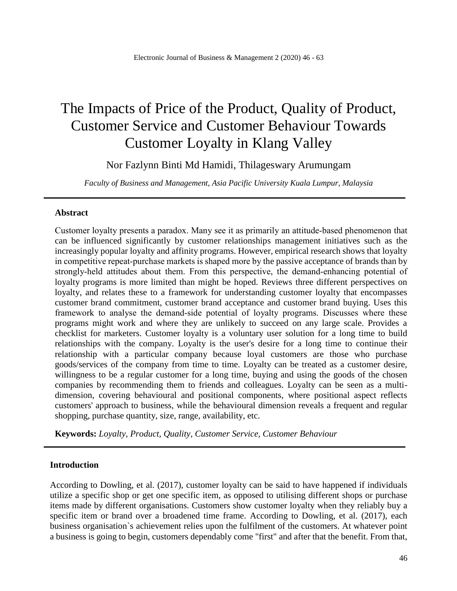# The Impacts of Price of the Product, Quality of Product, Customer Service and Customer Behaviour Towards Customer Loyalty in Klang Valley

Nor Fazlynn Binti Md Hamidi, Thilageswary Arumungam

*Faculty of Business and Management, Asia Pacific University Kuala Lumpur, Malaysia*

#### **Abstract**

Customer loyalty presents a paradox. Many see it as primarily an attitude‐based phenomenon that can be influenced significantly by customer relationships management initiatives such as the increasingly popular loyalty and affinity programs. However, empirical research shows that loyalty in competitive repeat-purchase markets is shaped more by the passive acceptance of brands than by strongly-held attitudes about them. From this perspective, the demand-enhancing potential of loyalty programs is more limited than might be hoped. Reviews three different perspectives on loyalty, and relates these to a framework for understanding customer loyalty that encompasses customer brand commitment, customer brand acceptance and customer brand buying. Uses this framework to analyse the demand‐side potential of loyalty programs. Discusses where these programs might work and where they are unlikely to succeed on any large scale. Provides a checklist for marketers. Customer loyalty is a voluntary user solution for a long time to build relationships with the company. Loyalty is the user's desire for a long time to continue their relationship with a particular company because loyal customers are those who purchase goods/services of the company from time to time. Loyalty can be treated as a customer desire, willingness to be a regular customer for a long time, buying and using the goods of the chosen companies by recommending them to friends and colleagues. Loyalty can be seen as a multidimension, covering behavioural and positional components, where positional aspect reflects customers' approach to business, while the behavioural dimension reveals a frequent and regular shopping, purchase quantity, size, range, availability, etc.

**Keywords:** *Loyalty, Product, Quality, Customer Service, Customer Behaviour*

#### **Introduction**

According to Dowling, et al. (2017), customer loyalty can be said to have happened if individuals utilize a specific shop or get one specific item, as opposed to utilising different shops or purchase items made by different organisations. Customers show customer loyalty when they reliably buy a specific item or brand over a broadened time frame. According to Dowling, et al. (2017), each business organisation`s achievement relies upon the fulfilment of the customers. At whatever point a business is going to begin, customers dependably come "first" and after that the benefit. From that,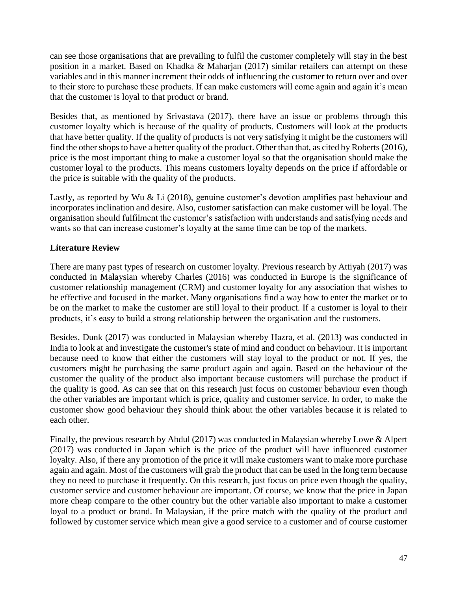can see those organisations that are prevailing to fulfil the customer completely will stay in the best position in a market. Based on Khadka & Maharjan (2017) similar retailers can attempt on these variables and in this manner increment their odds of influencing the customer to return over and over to their store to purchase these products. If can make customers will come again and again it's mean that the customer is loyal to that product or brand.

Besides that, as mentioned by Srivastava (2017), there have an issue or problems through this customer loyalty which is because of the quality of products. Customers will look at the products that have better quality. If the quality of products is not very satisfying it might be the customers will find the other shops to have a better quality of the product. Other than that, as cited by Roberts (2016), price is the most important thing to make a customer loyal so that the organisation should make the customer loyal to the products. This means customers loyalty depends on the price if affordable or the price is suitable with the quality of the products.

Lastly, as reported by Wu & Li (2018), genuine customer's devotion amplifies past behaviour and incorporates inclination and desire. Also, customer satisfaction can make customer will be loyal. The organisation should fulfilment the customer's satisfaction with understands and satisfying needs and wants so that can increase customer's loyalty at the same time can be top of the markets.

# **Literature Review**

There are many past types of research on customer loyalty. Previous research by Attiyah (2017) was conducted in Malaysian whereby Charles (2016) was conducted in Europe is the significance of customer relationship management (CRM) and customer loyalty for any association that wishes to be effective and focused in the market. Many organisations find a way how to enter the market or to be on the market to make the customer are still loyal to their product. If a customer is loyal to their products, it's easy to build a strong relationship between the organisation and the customers.

Besides, Dunk (2017) was conducted in Malaysian whereby Hazra, et al. (2013) was conducted in India to look at and investigate the customer's state of mind and conduct on behaviour. It is important because need to know that either the customers will stay loyal to the product or not. If yes, the customers might be purchasing the same product again and again. Based on the behaviour of the customer the quality of the product also important because customers will purchase the product if the quality is good. As can see that on this research just focus on customer behaviour even though the other variables are important which is price, quality and customer service. In order, to make the customer show good behaviour they should think about the other variables because it is related to each other.

Finally, the previous research by Abdul (2017) was conducted in Malaysian whereby Lowe & Alpert (2017) was conducted in Japan which is the price of the product will have influenced customer loyalty. Also, if there any promotion of the price it will make customers want to make more purchase again and again. Most of the customers will grab the product that can be used in the long term because they no need to purchase it frequently. On this research, just focus on price even though the quality, customer service and customer behaviour are important. Of course, we know that the price in Japan more cheap compare to the other country but the other variable also important to make a customer loyal to a product or brand. In Malaysian, if the price match with the quality of the product and followed by customer service which mean give a good service to a customer and of course customer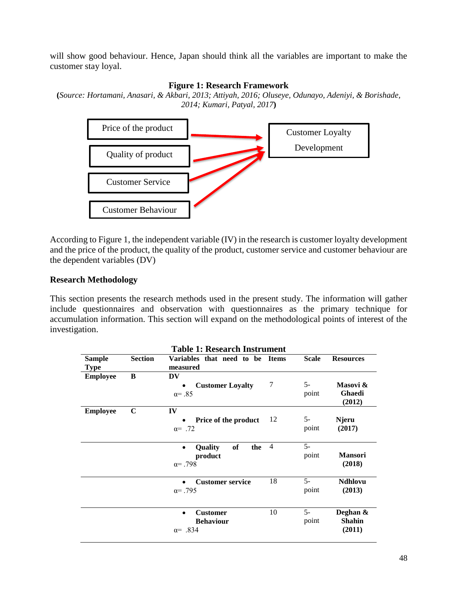will show good behaviour. Hence, Japan should think all the variables are important to make the customer stay loyal.

#### **Figure 1: Research Framework**

**(***Source: Hortamani, Anasari, & Akbari, 2013; Attiyah, 2016; Oluseye, Odunayo, Adeniyi, & Borishade, 2014; Kumari, Patyal, 2017***)**



According to Figure 1, the independent variable (IV) in the research is customer loyalty development and the price of the product, the quality of the product, customer service and customer behaviour are the dependent variables (DV)

# **Research Methodology**

This section presents the research methods used in the present study. The information will gather include questionnaires and observation with questionnaires as the primary technique for accumulation information. This section will expand on the methodological points of interest of the investigation.

| <b>Table 1: Research Instrument</b> |                |                                                                        |                |               |                                     |  |  |
|-------------------------------------|----------------|------------------------------------------------------------------------|----------------|---------------|-------------------------------------|--|--|
| <b>Sample</b><br><b>Type</b>        | <b>Section</b> | Variables that need to be Items<br>measured                            |                | <b>Scale</b>  | <b>Resources</b>                    |  |  |
| <b>Employee</b>                     | B              | <b>DV</b><br><b>Customer Loyalty</b><br>$\alpha = .85$                 | 7              | $5-$<br>point | Masovi &<br>Ghaedi<br>(2012)        |  |  |
| <b>Employee</b>                     | $\mathbf C$    | IV<br>Price of the product<br>$\alpha = .72$                           | 12             | $5-$<br>point | Njeru<br>(2017)                     |  |  |
|                                     |                | <b>of</b><br>Quality<br>the<br>$\bullet$<br>product<br>$\alpha = .798$ | $\overline{4}$ | $5-$<br>point | <b>Mansori</b><br>(2018)            |  |  |
|                                     |                | <b>Customer service</b><br>$\bullet$<br>$\alpha = .795$                | 18             | $5-$<br>point | <b>Ndhlovu</b><br>(2013)            |  |  |
|                                     |                | <b>Customer</b><br>$\bullet$<br><b>Behaviour</b><br>$\alpha = .834$    | 10             | $5-$<br>point | Deghan &<br><b>Shahin</b><br>(2011) |  |  |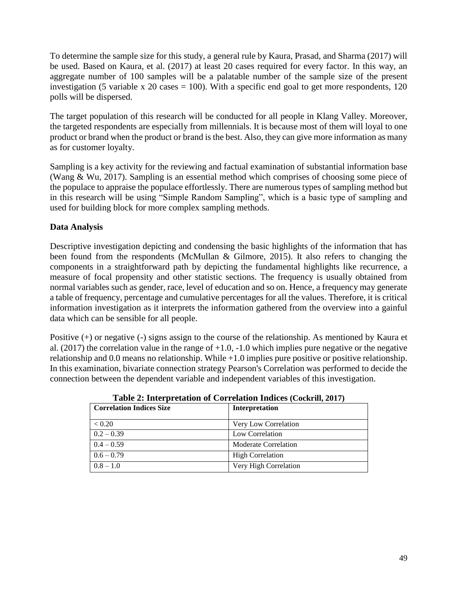To determine the sample size for this study, a general rule by Kaura, Prasad, and Sharma (2017) will be used. Based on Kaura, et al. (2017) at least 20 cases required for every factor. In this way, an aggregate number of 100 samples will be a palatable number of the sample size of the present investigation (5 variable x 20 cases = 100). With a specific end goal to get more respondents, 120 polls will be dispersed.

The target population of this research will be conducted for all people in Klang Valley. Moreover, the targeted respondents are especially from millennials. It is because most of them will loyal to one product or brand when the product or brand is the best. Also, they can give more information as many as for customer loyalty.

Sampling is a key activity for the reviewing and factual examination of substantial information base (Wang & Wu, 2017). Sampling is an essential method which comprises of choosing some piece of the populace to appraise the populace effortlessly. There are numerous types of sampling method but in this research will be using "Simple Random Sampling", which is a basic type of sampling and used for building block for more complex sampling methods.

# **Data Analysis**

Descriptive investigation depicting and condensing the basic highlights of the information that has been found from the respondents (McMullan & Gilmore, 2015). It also refers to changing the components in a straightforward path by depicting the fundamental highlights like recurrence, a measure of focal propensity and other statistic sections. The frequency is usually obtained from normal variables such as gender, race, level of education and so on. Hence, a frequency may generate a table of frequency, percentage and cumulative percentages for all the values. Therefore, it is critical information investigation as it interprets the information gathered from the overview into a gainful data which can be sensible for all people.

Positive (+) or negative (-) signs assign to the course of the relationship. As mentioned by Kaura et al. (2017) the correlation value in the range of  $+1.0$ ,  $-1.0$  which implies pure negative or the negative relationship and 0.0 means no relationship. While +1.0 implies pure positive or positive relationship. In this examination, bivariate connection strategy Pearson's Correlation was performed to decide the connection between the dependent variable and independent variables of this investigation.

| <b>Correlation Indices Size</b> | Interpretation              |
|---------------------------------|-----------------------------|
| < 0.20                          | Very Low Correlation        |
| $0.2 - 0.39$                    | Low Correlation             |
| $0.4 - 0.59$                    | <b>Moderate Correlation</b> |
| $0.6 - 0.79$                    | <b>High Correlation</b>     |
| $0.8 - 1.0$                     | Very High Correlation       |

**Table 2: Interpretation of Correlation Indices (Cockrill, 2017)**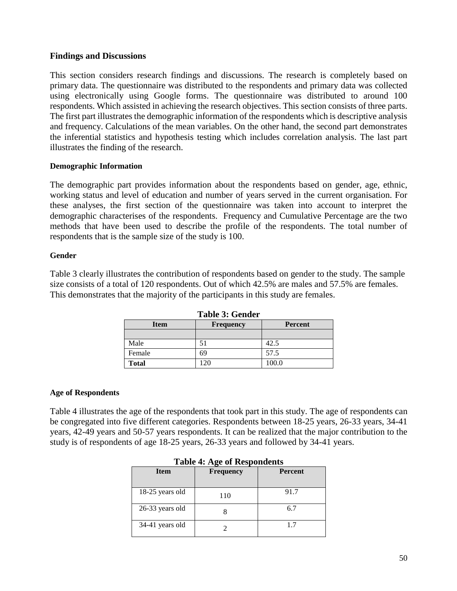#### **Findings and Discussions**

This section considers research findings and discussions. The research is completely based on primary data. The questionnaire was distributed to the respondents and primary data was collected using electronically using Google forms. The questionnaire was distributed to around 100 respondents. Which assisted in achieving the research objectives. This section consists of three parts. The first part illustrates the demographic information of the respondents which is descriptive analysis and frequency. Calculations of the mean variables. On the other hand, the second part demonstrates the inferential statistics and hypothesis testing which includes correlation analysis. The last part illustrates the finding of the research.

#### **Demographic Information**

The demographic part provides information about the respondents based on gender, age, ethnic, working status and level of education and number of years served in the current organisation. For these analyses, the first section of the questionnaire was taken into account to interpret the demographic characterises of the respondents. Frequency and Cumulative Percentage are the two methods that have been used to describe the profile of the respondents. The total number of respondents that is the sample size of the study is 100.

#### **Gender**

Table 3 clearly illustrates the contribution of respondents based on gender to the study. The sample size consists of a total of 120 respondents. Out of which 42.5% are males and 57.5% are females. This demonstrates that the majority of the participants in this study are females.

| Table 3: Gender<br><b>Item</b><br><b>Percent</b><br><b>Frequency</b> |     |       |  |  |  |  |
|----------------------------------------------------------------------|-----|-------|--|--|--|--|
|                                                                      |     |       |  |  |  |  |
| Male                                                                 | 51  | 42.5  |  |  |  |  |
| Female                                                               | 69  | 57.5  |  |  |  |  |
| <b>Total</b>                                                         | 120 | 100.0 |  |  |  |  |

**Table 3: Gender**

#### **Age of Respondents**

Table 4 illustrates the age of the respondents that took part in this study. The age of respondents can be congregated into five different categories. Respondents between 18-25 years, 26-33 years, 34-41 years, 42-49 years and 50-57 years respondents. It can be realized that the major contribution to the study is of respondents of age 18-25 years, 26-33 years and followed by 34-41 years.

| Table 7. Age of Respondents |                  |                |  |  |  |
|-----------------------------|------------------|----------------|--|--|--|
| <b>Item</b>                 | <b>Frequency</b> | <b>Percent</b> |  |  |  |
| 18-25 years old             | 110              | 91.7           |  |  |  |
| 26-33 years old             |                  | 6.7            |  |  |  |
| 34-41 years old             |                  | 17             |  |  |  |

#### **Table 4: Age of Respondents**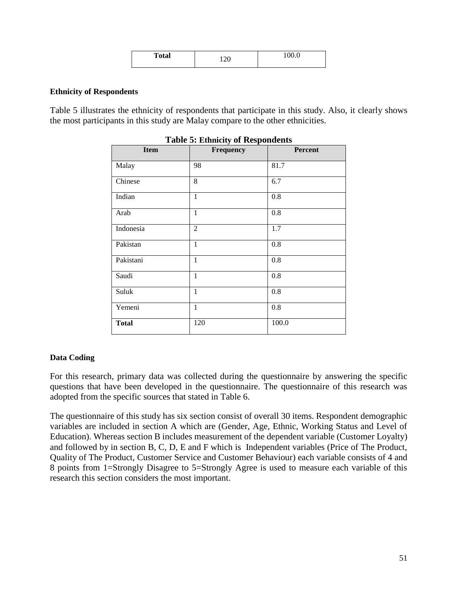|              | $\bigcap$ | $\Omega$ $\Omega$ |
|--------------|-----------|-------------------|
| <b>Total</b> | 100       | 1 VV.V            |
|              |           |                   |

#### **Ethnicity of Respondents**

Table 5 illustrates the ethnicity of respondents that participate in this study. Also, it clearly shows the most participants in this study are Malay compare to the other ethnicities.

| Table st Ethnicity of Respondents |                |         |  |  |  |  |  |
|-----------------------------------|----------------|---------|--|--|--|--|--|
| <b>Item</b>                       | Frequency      | Percent |  |  |  |  |  |
| Malay                             | 98             | 81.7    |  |  |  |  |  |
| Chinese                           | 8              | 6.7     |  |  |  |  |  |
| Indian                            | $\mathbf{1}$   | 0.8     |  |  |  |  |  |
| Arab                              | $\mathbf{1}$   | 0.8     |  |  |  |  |  |
| Indonesia                         | $\overline{2}$ | 1.7     |  |  |  |  |  |
| Pakistan                          | $\mathbf{1}$   | 0.8     |  |  |  |  |  |
| Pakistani                         | $\mathbf{1}$   | 0.8     |  |  |  |  |  |
| Saudi                             | 1              | 0.8     |  |  |  |  |  |
| Suluk                             | $\mathbf{1}$   | 0.8     |  |  |  |  |  |
| Yemeni                            | $\mathbf{1}$   | 0.8     |  |  |  |  |  |
| <b>Total</b>                      | 120            | 100.0   |  |  |  |  |  |

#### **Table 5: Ethnicity of Respondents**

#### **Data Coding**

For this research, primary data was collected during the questionnaire by answering the specific questions that have been developed in the questionnaire. The questionnaire of this research was adopted from the specific sources that stated in Table 6.

The questionnaire of this study has six section consist of overall 30 items. Respondent demographic variables are included in section A which are (Gender, Age, Ethnic, Working Status and Level of Education). Whereas section B includes measurement of the dependent variable (Customer Loyalty) and followed by in section B, C, D, E and F which is Independent variables (Price of The Product, Quality of The Product, Customer Service and Customer Behaviour) each variable consists of 4 and 8 points from 1=Strongly Disagree to 5=Strongly Agree is used to measure each variable of this research this section considers the most important.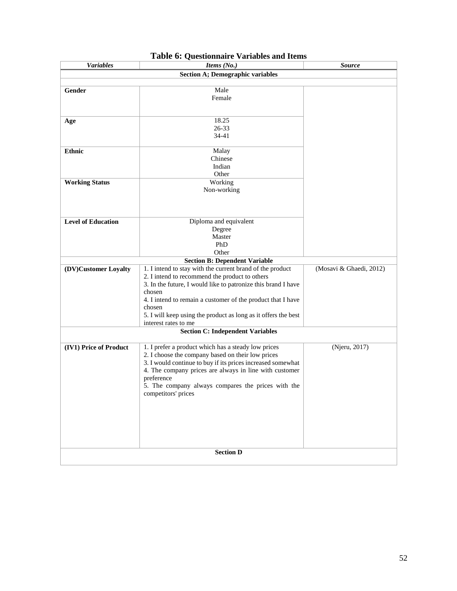| <b>Variables</b>          | Items (No.)                                                    | <b>Source</b>           |
|---------------------------|----------------------------------------------------------------|-------------------------|
|                           | <b>Section A; Demographic variables</b>                        |                         |
|                           |                                                                |                         |
| Gender                    | Male                                                           |                         |
|                           | Female                                                         |                         |
|                           |                                                                |                         |
|                           |                                                                |                         |
| Age                       | 18.25                                                          |                         |
|                           | 26-33                                                          |                         |
|                           | 34-41                                                          |                         |
| <b>Ethnic</b>             | Malay                                                          |                         |
|                           | Chinese                                                        |                         |
|                           | Indian                                                         |                         |
|                           | Other                                                          |                         |
| <b>Working Status</b>     | Working                                                        |                         |
|                           | Non-working                                                    |                         |
|                           |                                                                |                         |
|                           |                                                                |                         |
|                           |                                                                |                         |
| <b>Level of Education</b> | Diploma and equivalent                                         |                         |
|                           | Degree                                                         |                         |
|                           | Master                                                         |                         |
|                           | PhD                                                            |                         |
|                           | Other                                                          |                         |
|                           | <b>Section B: Dependent Variable</b>                           |                         |
| (DV)Customer Loyalty      | 1. I intend to stay with the current brand of the product      | (Mosavi & Ghaedi, 2012) |
|                           | 2. I intend to recommend the product to others                 |                         |
|                           | 3. In the future, I would like to patronize this brand I have  |                         |
|                           | chosen                                                         |                         |
|                           | 4. I intend to remain a customer of the product that I have    |                         |
|                           | chosen                                                         |                         |
|                           | 5. I will keep using the product as long as it offers the best |                         |
|                           | interest rates to me                                           |                         |
|                           | <b>Section C: Independent Variables</b>                        |                         |
|                           |                                                                |                         |
| (IV1) Price of Product    | 1. I prefer a product which has a steady low prices            | (Njeru, 2017)           |
|                           | 2. I choose the company based on their low prices              |                         |
|                           | 3. I would continue to buy if its prices increased somewhat    |                         |
|                           | 4. The company prices are always in line with customer         |                         |
|                           | preference                                                     |                         |
|                           | 5. The company always compares the prices with the             |                         |
|                           | competitors' prices                                            |                         |
|                           |                                                                |                         |
|                           |                                                                |                         |
|                           |                                                                |                         |
|                           |                                                                |                         |
|                           |                                                                |                         |
|                           |                                                                |                         |
|                           | <b>Section D</b>                                               |                         |
|                           |                                                                |                         |

# **Table 6: Questionnaire Variables and Items**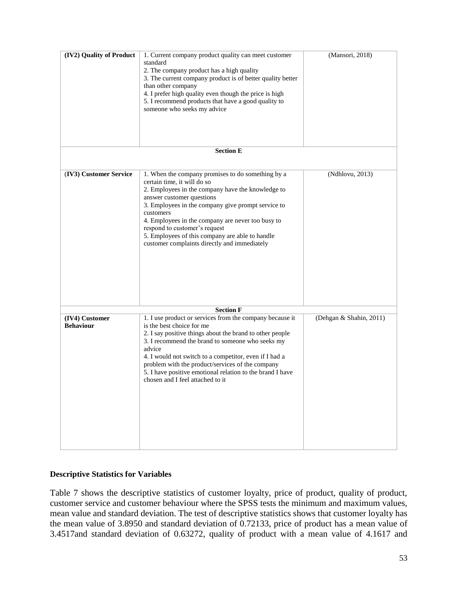| (IV2) Quality of Product           | 1. Current company product quality can meet customer<br>standard<br>2. The company product has a high quality<br>3. The current company product is of better quality better<br>than other company<br>4. I prefer high quality even though the price is high<br>5. I recommend products that have a good quality to<br>someone who seeks my advice                                                                              | (Mansori, 2018)         |
|------------------------------------|--------------------------------------------------------------------------------------------------------------------------------------------------------------------------------------------------------------------------------------------------------------------------------------------------------------------------------------------------------------------------------------------------------------------------------|-------------------------|
|                                    | <b>Section E</b>                                                                                                                                                                                                                                                                                                                                                                                                               |                         |
| (IV3) Customer Service             | 1. When the company promises to do something by a<br>certain time, it will do so<br>2. Employees in the company have the knowledge to<br>answer customer questions<br>3. Employees in the company give prompt service to<br>customers<br>4. Employees in the company are never too busy to<br>respond to customer's request<br>5. Employees of this company are able to handle<br>customer complaints directly and immediately | (Ndhlovu, 2013)         |
|                                    | <b>Section F</b>                                                                                                                                                                                                                                                                                                                                                                                                               |                         |
| (IV4) Customer<br><b>Behaviour</b> | 1. I use product or services from the company because it<br>is the best choice for me<br>2. I say positive things about the brand to other people<br>3. I recommend the brand to someone who seeks my<br>advice<br>4. I would not switch to a competitor, even if I had a<br>problem with the product/services of the company<br>5. I have positive emotional relation to the brand I have<br>chosen and I feel attached to it | (Dehgan & Shahin, 2011) |

#### **Descriptive Statistics for Variables**

Table 7 shows the descriptive statistics of customer loyalty, price of product, quality of product, customer service and customer behaviour where the SPSS tests the minimum and maximum values, mean value and standard deviation. The test of descriptive statistics shows that customer loyalty has the mean value of 3.8950 and standard deviation of 0.72133, price of product has a mean value of 3.4517and standard deviation of 0.63272, quality of product with a mean value of 4.1617 and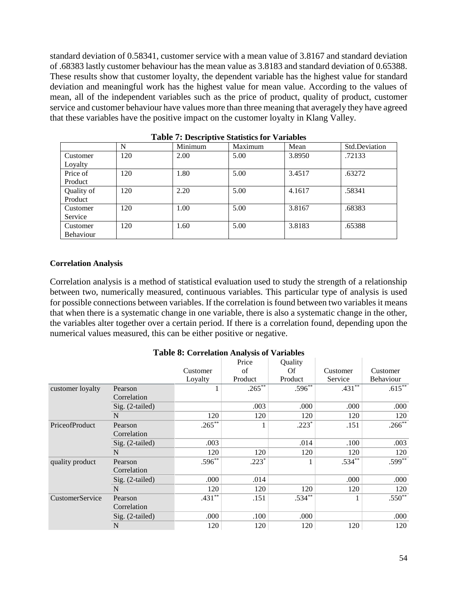standard deviation of 0.58341, customer service with a mean value of 3.8167 and standard deviation of .68383 lastly customer behaviour has the mean value as 3.8183 and standard deviation of 0.65388. These results show that customer loyalty, the dependent variable has the highest value for standard deviation and meaningful work has the highest value for mean value. According to the values of mean, all of the independent variables such as the price of product, quality of product, customer service and customer behaviour have values more than three meaning that averagely they have agreed that these variables have the positive impact on the customer loyalty in Klang Valley.

|            | N   | Minimum | Maximum | Mean   | Std.Deviation |
|------------|-----|---------|---------|--------|---------------|
| Customer   | 120 | 2.00    | 5.00    | 3.8950 | .72133        |
| Loyalty    |     |         |         |        |               |
| Price of   | 120 | 1.80    | 5.00    | 3.4517 | .63272        |
| Product    |     |         |         |        |               |
| Quality of | 120 | 2.20    | 5.00    | 4.1617 | .58341        |
| Product    |     |         |         |        |               |
| Customer   | 120 | 1.00    | 5.00    | 3.8167 | .68383        |
| Service    |     |         |         |        |               |
| Customer   | 120 | 1.60    | 5.00    | 3.8183 | .65388        |
| Behaviour  |     |         |         |        |               |

**Table 7: Descriptive Statistics for Variables**

#### **Correlation Analysis**

Correlation analysis is a method of statistical evaluation used to study the strength of a relationship between two, numerically measured, continuous variables. This particular type of analysis is used for possible connections between variables. If the correlation is found between two variables it means that when there is a systematic change in one variable, there is also a systematic change in the other, the variables alter together over a certain period. If there is a correlation found, depending upon the numerical values measured, this can be either positive or negative.

#### **Table 8: Correlation Analysis of Variables**

|                        |                   |           | Price     | Ouality      |           |                  |
|------------------------|-------------------|-----------|-----------|--------------|-----------|------------------|
|                        |                   | Customer  | of        | Of           | Customer  | Customer         |
|                        |                   | Lovalty   | Product   | Product      | Service   | <b>Behaviour</b> |
| customer loyalty       | Pearson           |           | $.265***$ | $.596^{**}$  | $.431***$ | $.615***$        |
|                        | Correlation       |           |           |              |           |                  |
|                        | Sig. (2-tailed)   |           | .003      | .000         | .000      | .000             |
|                        | N                 | 120       | 120       | 120          | 120       | 120              |
| PriceofProduct         | Pearson           | $.265***$ | 1         | $.223*$      | .151      | $.266***$        |
|                        | Correlation       |           |           |              |           |                  |
|                        | $Sig. (2-tailed)$ | .003      |           | .014         | .100      | .003             |
|                        | N                 | 120       | 120       | 120          | 120       | 120              |
| quality product        | Pearson           | $.596**$  | $.223*$   | $\mathbf{1}$ | $.534**$  | $.599***$        |
|                        | Correlation       |           |           |              |           |                  |
|                        | $Sig. (2-tailed)$ | .000      | .014      |              | .000      | .000             |
|                        | N                 | 120       | 120       | 120          | 120       | 120              |
| <b>CustomerService</b> | Pearson           | $.431***$ | .151      | $.534***$    | 1         | $.550**$         |
|                        | Correlation       |           |           |              |           |                  |
|                        | $Sig. (2-tailed)$ | .000      | .100      | .000         |           | .000             |
|                        | N                 | 120       | 120       | 120          | 120       | 120              |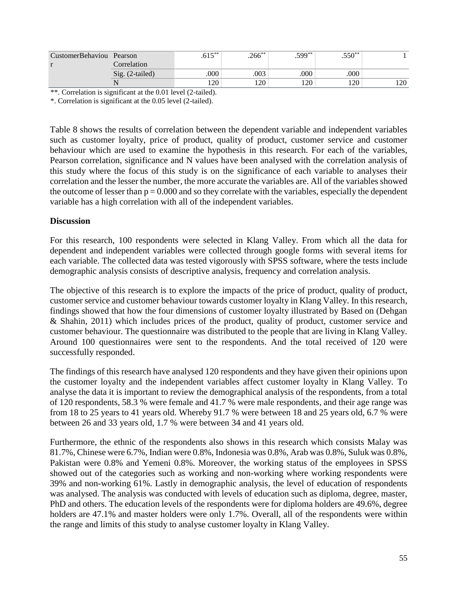| CustomerBehaviou Pearson |                 | $.615***$ | $.266^{**}$ | $.599**$ | $.550**$ |     |
|--------------------------|-----------------|-----------|-------------|----------|----------|-----|
|                          | Correlation     |           |             |          |          |     |
|                          | Sig. (2-tailed) | .000      | .003        | .000     | .000     |     |
|                          |                 | 120       | l 20        | 120      | 170      | 120 |

\*\*. Correlation is significant at the 0.01 level (2-tailed).

\*. Correlation is significant at the 0.05 level (2-tailed).

Table 8 shows the results of correlation between the dependent variable and independent variables such as customer loyalty, price of product, quality of product, customer service and customer behaviour which are used to examine the hypothesis in this research. For each of the variables, Pearson correlation, significance and N values have been analysed with the correlation analysis of this study where the focus of this study is on the significance of each variable to analyses their correlation and the lesser the number, the more accurate the variables are. All of the variables showed the outcome of lesser than  $p = 0.000$  and so they correlate with the variables, especially the dependent variable has a high correlation with all of the independent variables.

#### **Discussion**

For this research, 100 respondents were selected in Klang Valley. From which all the data for dependent and independent variables were collected through google forms with several items for each variable. The collected data was tested vigorously with SPSS software, where the tests include demographic analysis consists of descriptive analysis, frequency and correlation analysis.

The objective of this research is to explore the impacts of the price of product, quality of product, customer service and customer behaviour towards customer loyalty in Klang Valley. In this research, findings showed that how the four dimensions of customer loyalty illustrated by Based on (Dehgan & Shahin, 2011) which includes prices of the product, quality of product, customer service and customer behaviour. The questionnaire was distributed to the people that are living in Klang Valley. Around 100 questionnaires were sent to the respondents. And the total received of 120 were successfully responded.

The findings of this research have analysed 120 respondents and they have given their opinions upon the customer loyalty and the independent variables affect customer loyalty in Klang Valley. To analyse the data it is important to review the demographical analysis of the respondents, from a total of 120 respondents, 58.3 % were female and 41.7 % were male respondents, and their age range was from 18 to 25 years to 41 years old. Whereby 91.7 % were between 18 and 25 years old, 6.7 % were between 26 and 33 years old, 1.7 % were between 34 and 41 years old.

Furthermore, the ethnic of the respondents also shows in this research which consists Malay was 81.7%, Chinese were 6.7%, Indian were 0.8%, Indonesia was 0.8%, Arab was 0.8%, Suluk was 0.8%, Pakistan were 0.8% and Yemeni 0.8%. Moreover, the working status of the employees in SPSS showed out of the categories such as working and non-working where working respondents were 39% and non-working 61%. Lastly in demographic analysis, the level of education of respondents was analysed. The analysis was conducted with levels of education such as diploma, degree, master, PhD and others. The education levels of the respondents were for diploma holders are 49.6%, degree holders are 47.1% and master holders were only 1.7%. Overall, all of the respondents were within the range and limits of this study to analyse customer loyalty in Klang Valley.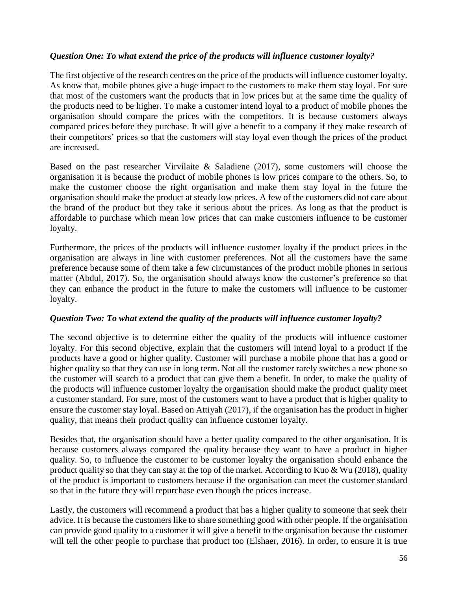## *Question One: To what extend the price of the products will influence customer loyalty?*

The first objective of the research centres on the price of the products will influence customer loyalty. As know that, mobile phones give a huge impact to the customers to make them stay loyal. For sure that most of the customers want the products that in low prices but at the same time the quality of the products need to be higher. To make a customer intend loyal to a product of mobile phones the organisation should compare the prices with the competitors. It is because customers always compared prices before they purchase. It will give a benefit to a company if they make research of their competitors' prices so that the customers will stay loyal even though the prices of the product are increased.

Based on the past researcher Virvilaite & Saladiene (2017), some customers will choose the organisation it is because the product of mobile phones is low prices compare to the others. So, to make the customer choose the right organisation and make them stay loyal in the future the organisation should make the product at steady low prices. A few of the customers did not care about the brand of the product but they take it serious about the prices. As long as that the product is affordable to purchase which mean low prices that can make customers influence to be customer loyalty.

Furthermore, the prices of the products will influence customer loyalty if the product prices in the organisation are always in line with customer preferences. Not all the customers have the same preference because some of them take a few circumstances of the product mobile phones in serious matter (Abdul, 2017). So, the organisation should always know the customer's preference so that they can enhance the product in the future to make the customers will influence to be customer loyalty.

#### *Question Two: To what extend the quality of the products will influence customer loyalty?*

The second objective is to determine either the quality of the products will influence customer loyalty. For this second objective, explain that the customers will intend loyal to a product if the products have a good or higher quality. Customer will purchase a mobile phone that has a good or higher quality so that they can use in long term. Not all the customer rarely switches a new phone so the customer will search to a product that can give them a benefit. In order, to make the quality of the products will influence customer loyalty the organisation should make the product quality meet a customer standard. For sure, most of the customers want to have a product that is higher quality to ensure the customer stay loyal. Based on Attiyah (2017), if the organisation has the product in higher quality, that means their product quality can influence customer loyalty.

Besides that, the organisation should have a better quality compared to the other organisation. It is because customers always compared the quality because they want to have a product in higher quality. So, to influence the customer to be customer loyalty the organisation should enhance the product quality so that they can stay at the top of the market. According to Kuo & Wu (2018), quality of the product is important to customers because if the organisation can meet the customer standard so that in the future they will repurchase even though the prices increase.

Lastly, the customers will recommend a product that has a higher quality to someone that seek their advice. It is because the customers like to share something good with other people. If the organisation can provide good quality to a customer it will give a benefit to the organisation because the customer will tell the other people to purchase that product too (Elshaer, 2016). In order, to ensure it is true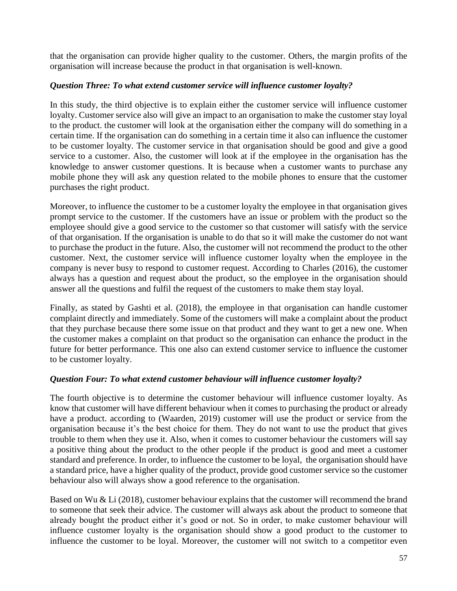that the organisation can provide higher quality to the customer. Others, the margin profits of the organisation will increase because the product in that organisation is well-known.

# *Question Three: To what extend customer service will influence customer loyalty?*

In this study, the third objective is to explain either the customer service will influence customer loyalty. Customer service also will give an impact to an organisation to make the customer stay loyal to the product. the customer will look at the organisation either the company will do something in a certain time. If the organisation can do something in a certain time it also can influence the customer to be customer loyalty. The customer service in that organisation should be good and give a good service to a customer. Also, the customer will look at if the employee in the organisation has the knowledge to answer customer questions. It is because when a customer wants to purchase any mobile phone they will ask any question related to the mobile phones to ensure that the customer purchases the right product.

Moreover, to influence the customer to be a customer loyalty the employee in that organisation gives prompt service to the customer. If the customers have an issue or problem with the product so the employee should give a good service to the customer so that customer will satisfy with the service of that organisation. If the organisation is unable to do that so it will make the customer do not want to purchase the product in the future. Also, the customer will not recommend the product to the other customer. Next, the customer service will influence customer loyalty when the employee in the company is never busy to respond to customer request. According to Charles (2016), the customer always has a question and request about the product, so the employee in the organisation should answer all the questions and fulfil the request of the customers to make them stay loyal.

Finally, as stated by Gashti et al. (2018), the employee in that organisation can handle customer complaint directly and immediately. Some of the customers will make a complaint about the product that they purchase because there some issue on that product and they want to get a new one. When the customer makes a complaint on that product so the organisation can enhance the product in the future for better performance. This one also can extend customer service to influence the customer to be customer loyalty.

# *Question Four: To what extend customer behaviour will influence customer loyalty?*

The fourth objective is to determine the customer behaviour will influence customer loyalty. As know that customer will have different behaviour when it comes to purchasing the product or already have a product. according to (Waarden, 2019) customer will use the product or service from the organisation because it's the best choice for them. They do not want to use the product that gives trouble to them when they use it. Also, when it comes to customer behaviour the customers will say a positive thing about the product to the other people if the product is good and meet a customer standard and preference. In order, to influence the customer to be loyal, the organisation should have a standard price, have a higher quality of the product, provide good customer service so the customer behaviour also will always show a good reference to the organisation.

Based on Wu & Li (2018), customer behaviour explains that the customer will recommend the brand to someone that seek their advice. The customer will always ask about the product to someone that already bought the product either it's good or not. So in order, to make customer behaviour will influence customer loyalty is the organisation should show a good product to the customer to influence the customer to be loyal. Moreover, the customer will not switch to a competitor even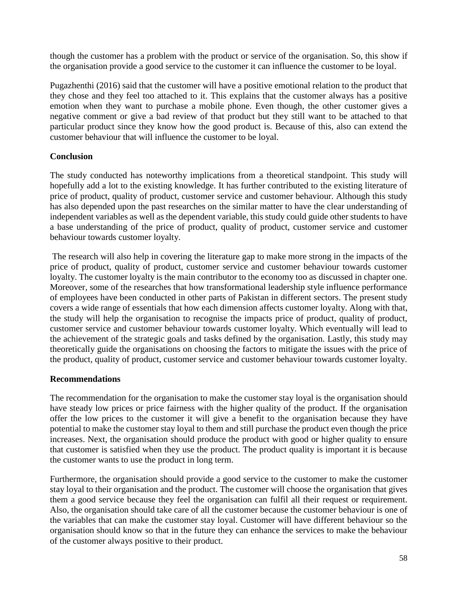though the customer has a problem with the product or service of the organisation. So, this show if the organisation provide a good service to the customer it can influence the customer to be loyal.

Pugazhenthi (2016) said that the customer will have a positive emotional relation to the product that they chose and they feel too attached to it. This explains that the customer always has a positive emotion when they want to purchase a mobile phone. Even though, the other customer gives a negative comment or give a bad review of that product but they still want to be attached to that particular product since they know how the good product is. Because of this, also can extend the customer behaviour that will influence the customer to be loyal.

# **Conclusion**

The study conducted has noteworthy implications from a theoretical standpoint. This study will hopefully add a lot to the existing knowledge. It has further contributed to the existing literature of price of product, quality of product, customer service and customer behaviour. Although this study has also depended upon the past researches on the similar matter to have the clear understanding of independent variables as well as the dependent variable, this study could guide other students to have a base understanding of the price of product, quality of product, customer service and customer behaviour towards customer loyalty.

The research will also help in covering the literature gap to make more strong in the impacts of the price of product, quality of product, customer service and customer behaviour towards customer loyalty. The customer loyalty is the main contributor to the economy too as discussed in chapter one. Moreover, some of the researches that how transformational leadership style influence performance of employees have been conducted in other parts of Pakistan in different sectors. The present study covers a wide range of essentials that how each dimension affects customer loyalty. Along with that, the study will help the organisation to recognise the impacts price of product, quality of product, customer service and customer behaviour towards customer loyalty. Which eventually will lead to the achievement of the strategic goals and tasks defined by the organisation. Lastly, this study may theoretically guide the organisations on choosing the factors to mitigate the issues with the price of the product, quality of product, customer service and customer behaviour towards customer loyalty.

#### **Recommendations**

The recommendation for the organisation to make the customer stay loyal is the organisation should have steady low prices or price fairness with the higher quality of the product. If the organisation offer the low prices to the customer it will give a benefit to the organisation because they have potential to make the customer stay loyal to them and still purchase the product even though the price increases. Next, the organisation should produce the product with good or higher quality to ensure that customer is satisfied when they use the product. The product quality is important it is because the customer wants to use the product in long term.

Furthermore, the organisation should provide a good service to the customer to make the customer stay loyal to their organisation and the product. The customer will choose the organisation that gives them a good service because they feel the organisation can fulfil all their request or requirement. Also, the organisation should take care of all the customer because the customer behaviour is one of the variables that can make the customer stay loyal. Customer will have different behaviour so the organisation should know so that in the future they can enhance the services to make the behaviour of the customer always positive to their product.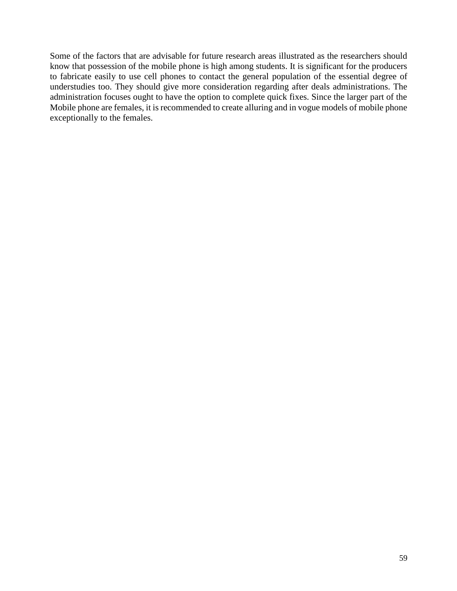Some of the factors that are advisable for future research areas illustrated as the researchers should know that possession of the mobile phone is high among students. It is significant for the producers to fabricate easily to use cell phones to contact the general population of the essential degree of understudies too. They should give more consideration regarding after deals administrations. The administration focuses ought to have the option to complete quick fixes. Since the larger part of the Mobile phone are females, it is recommended to create alluring and in vogue models of mobile phone exceptionally to the females.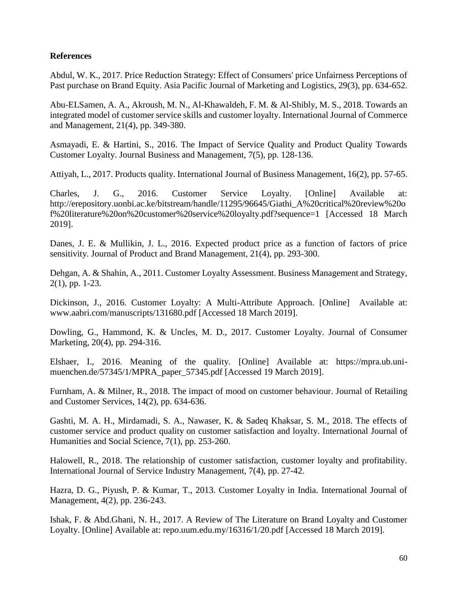## **References**

Abdul, W. K., 2017. Price Reduction Strategy: Effect of Consumers' price Unfairness Perceptions of Past purchase on Brand Equity. Asia Pacific Journal of Marketing and Logistics, 29(3), pp. 634-652.

Abu-ELSamen, A. A., Akroush, M. N., Al-Khawaldeh, F. M. & Al-Shibly, M. S., 2018. Towards an integrated model of customer service skills and customer loyalty. International Journal of Commerce and Management, 21(4), pp. 349-380.

Asmayadi, E. & Hartini, S., 2016. The Impact of Service Quality and Product Quality Towards Customer Loyalty. Journal Business and Management, 7(5), pp. 128-136.

Attiyah, L., 2017. Products quality. International Journal of Business Management, 16(2), pp. 57-65.

Charles, J. G., 2016. Customer Service Loyalty. [Online] Available at: http://erepository.uonbi.ac.ke/bitstream/handle/11295/96645/Giathi\_A%20critical%20review%20o f%20literature%20on%20customer%20service%20loyalty.pdf?sequence=1 [Accessed 18 March 2019].

Danes, J. E. & Mullikin, J. L., 2016. Expected product price as a function of factors of price sensitivity. Journal of Product and Brand Management, 21(4), pp. 293-300.

Dehgan, A. & Shahin, A., 2011. Customer Loyalty Assessment. Business Management and Strategy, 2(1), pp. 1-23.

Dickinson, J., 2016. Customer Loyalty: A Multi-Attribute Approach. [Online] Available at: www.aabri.com/manuscripts/131680.pdf [Accessed 18 March 2019].

Dowling, G., Hammond, K. & Uncles, M. D., 2017. Customer Loyalty. Journal of Consumer Marketing, 20(4), pp. 294-316.

Elshaer, I., 2016. Meaning of the quality. [Online] Available at: https://mpra.ub.unimuenchen.de/57345/1/MPRA\_paper\_57345.pdf [Accessed 19 March 2019].

Furnham, A. & Milner, R., 2018. The impact of mood on customer behaviour. Journal of Retailing and Customer Services, 14(2), pp. 634-636.

Gashti, M. A. H., Mirdamadi, S. A., Nawaser, K. & Sadeq Khaksar, S. M., 2018. The effects of customer service and product quality on customer satisfaction and loyalty. International Journal of Humanities and Social Science, 7(1), pp. 253-260.

Halowell, R., 2018. The relationship of customer satisfaction, customer loyalty and profitability. International Journal of Service Industry Management, 7(4), pp. 27-42.

Hazra, D. G., Piyush, P. & Kumar, T., 2013. Customer Loyalty in India. International Journal of Management, 4(2), pp. 236-243.

Ishak, F. & Abd.Ghani, N. H., 2017. A Review of The Literature on Brand Loyalty and Customer Loyalty. [Online] Available at: repo.uum.edu.my/16316/1/20.pdf [Accessed 18 March 2019].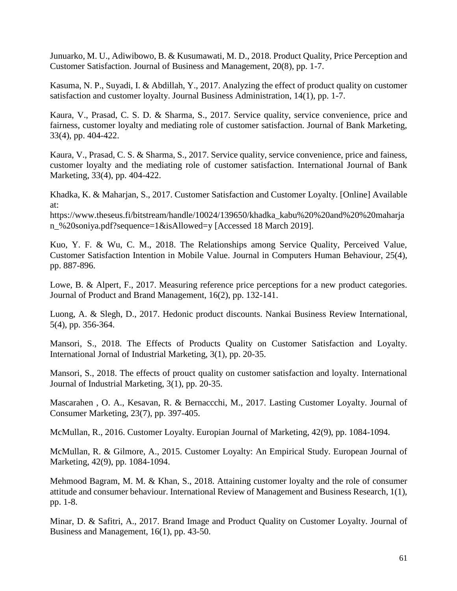Junuarko, M. U., Adiwibowo, B. & Kusumawati, M. D., 2018. Product Quality, Price Perception and Customer Satisfaction. Journal of Business and Management, 20(8), pp. 1-7.

Kasuma, N. P., Suyadi, I. & Abdillah, Y., 2017. Analyzing the effect of product quality on customer satisfaction and customer loyalty. Journal Business Administration, 14(1), pp. 1-7.

Kaura, V., Prasad, C. S. D. & Sharma, S., 2017. Service quality, service convenience, price and fairness, customer loyalty and mediating role of customer satisfaction. Journal of Bank Marketing, 33(4), pp. 404-422.

Kaura, V., Prasad, C. S. & Sharma, S., 2017. Service quality, service convenience, price and fainess, customer loyalty and the mediating role of customer satisfaction. International Journal of Bank Marketing, 33(4), pp. 404-422.

Khadka, K. & Maharjan, S., 2017. Customer Satisfaction and Customer Loyalty. [Online] Available at:

https://www.theseus.fi/bitstream/handle/10024/139650/khadka\_kabu%20%20and%20%20maharja n\_%20soniya.pdf?sequence=1&isAllowed=y [Accessed 18 March 2019].

Kuo, Y. F. & Wu, C. M., 2018. The Relationships among Service Quality, Perceived Value, Customer Satisfaction Intention in Mobile Value. Journal in Computers Human Behaviour, 25(4), pp. 887-896.

Lowe, B. & Alpert, F., 2017. Measuring reference price perceptions for a new product categories. Journal of Product and Brand Management, 16(2), pp. 132-141.

Luong, A. & Slegh, D., 2017. Hedonic product discounts. Nankai Business Review International, 5(4), pp. 356-364.

Mansori, S., 2018. The Effects of Products Quality on Customer Satisfaction and Loyalty. International Jornal of Industrial Marketing, 3(1), pp. 20-35.

Mansori, S., 2018. The effects of prouct quality on customer satisfaction and loyalty. International Journal of Industrial Marketing, 3(1), pp. 20-35.

Mascarahen , O. A., Kesavan, R. & Bernaccchi, M., 2017. Lasting Customer Loyalty. Journal of Consumer Marketing, 23(7), pp. 397-405.

McMullan, R., 2016. Customer Loyalty. Europian Journal of Marketing, 42(9), pp. 1084-1094.

McMullan, R. & Gilmore, A., 2015. Customer Loyalty: An Empirical Study. European Journal of Marketing, 42(9), pp. 1084-1094.

Mehmood Bagram, M. M. & Khan, S., 2018. Attaining customer loyalty and the role of consumer attitude and consumer behaviour. International Review of Management and Business Research, 1(1), pp. 1-8.

Minar, D. & Safitri, A., 2017. Brand Image and Product Quality on Customer Loyalty. Journal of Business and Management, 16(1), pp. 43-50.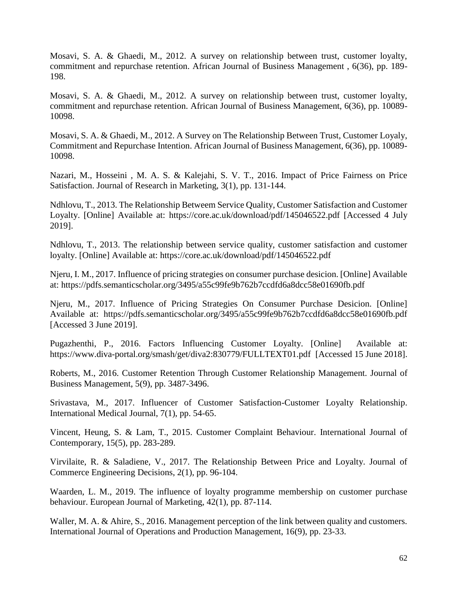Mosavi, S. A. & Ghaedi, M., 2012. A survey on relationship between trust, customer loyalty, commitment and repurchase retention. African Journal of Business Management , 6(36), pp. 189- 198.

Mosavi, S. A. & Ghaedi, M., 2012. A survey on relationship between trust, customer loyalty, commitment and repurchase retention. African Journal of Business Management, 6(36), pp. 10089- 10098.

Mosavi, S. A. & Ghaedi, M., 2012. A Survey on The Relationship Between Trust, Customer Loyaly, Commitment and Repurchase Intention. African Journal of Business Management, 6(36), pp. 10089- 10098.

Nazari, M., Hosseini , M. A. S. & Kalejahi, S. V. T., 2016. Impact of Price Fairness on Price Satisfaction. Journal of Research in Marketing, 3(1), pp. 131-144.

Ndhlovu, T., 2013. The Relationship Betweem Service Quality, Customer Satisfaction and Customer Loyalty. [Online] Available at: https://core.ac.uk/download/pdf/145046522.pdf [Accessed 4 July 2019].

Ndhlovu, T., 2013. The relationship between service quality, customer satisfaction and customer loyalty. [Online] Available at: https://core.ac.uk/download/pdf/145046522.pdf

Njeru, I. M., 2017. Influence of pricing strategies on consumer purchase desicion. [Online] Available at: https://pdfs.semanticscholar.org/3495/a55c99fe9b762b7ccdfd6a8dcc58e01690fb.pdf

Njeru, M., 2017. Influence of Pricing Strategies On Consumer Purchase Desicion. [Online] Available at: https://pdfs.semanticscholar.org/3495/a55c99fe9b762b7ccdfd6a8dcc58e01690fb.pdf [Accessed 3 June 2019].

Pugazhenthi, P., 2016. Factors Influencing Customer Loyalty. [Online] Available at: https://www.diva-portal.org/smash/get/diva2:830779/FULLTEXT01.pdf [Accessed 15 June 2018].

Roberts, M., 2016. Customer Retention Through Customer Relationship Management. Journal of Business Management, 5(9), pp. 3487-3496.

Srivastava, M., 2017. Influencer of Customer Satisfaction-Customer Loyalty Relationship. International Medical Journal, 7(1), pp. 54-65.

Vincent, Heung, S. & Lam, T., 2015. Customer Complaint Behaviour. International Journal of Contemporary, 15(5), pp. 283-289.

Virvilaite, R. & Saladiene, V., 2017. The Relationship Between Price and Loyalty. Journal of Commerce Engineering Decisions, 2(1), pp. 96-104.

Waarden, L. M., 2019. The influence of loyalty programme membership on customer purchase behaviour. European Journal of Marketing, 42(1), pp. 87-114.

Waller, M. A. & Ahire, S., 2016. Management perception of the link between quality and customers. International Journal of Operations and Production Management, 16(9), pp. 23-33.